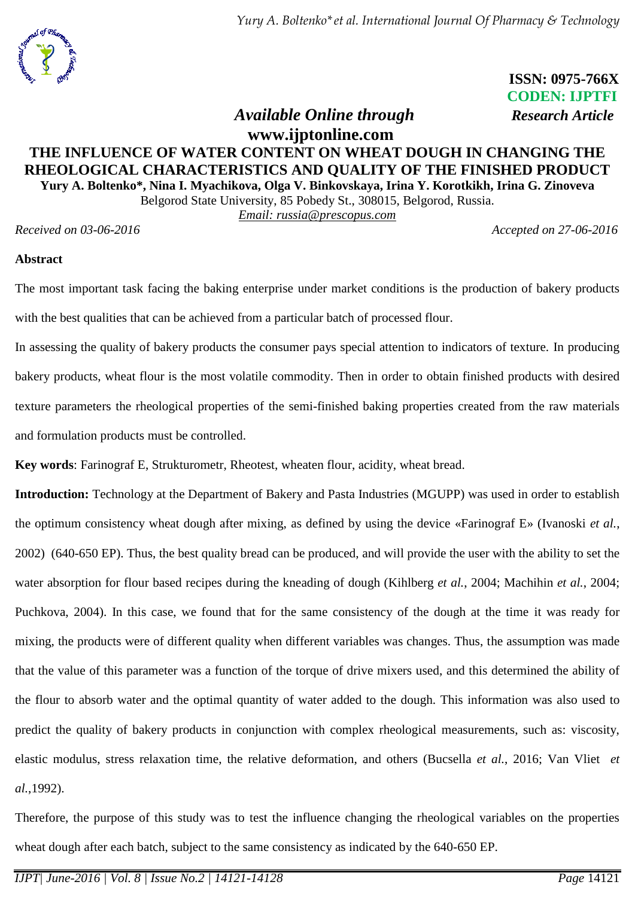*Yury A. Boltenko\*et al. International Journal Of Pharmacy & Technology*



 **ISSN: 0975-766X CODEN: IJPTFI**  *Available Online through Research Article*

## **www.ijptonline.com THE INFLUENCE OF WATER CONTENT ON WHEAT DOUGH IN CHANGING THE RHEOLOGICAL CHARACTERISTICS AND QUALITY OF THE FINISHED PRODUCT Yury A. Boltenko\*, Nina I. Myachikova, Olga V. Binkovskaya, Irina Y. Korotkikh, Irina G. Zinoveva**

Belgorod State University, 85 Pobedy St., 308015, Belgorod, Russia.

*Email: [russia@prescopus.com](mailto:anrietta25@mail.ru)*

*Received on 03-06-2016 Accepted on 27-06-2016*

### **Abstract**

The most important task facing the baking enterprise under market conditions is the production of bakery products with the best qualities that can be achieved from a particular batch of processed flour.

In assessing the quality of bakery products the consumer pays special attention to indicators of texture. In producing bakery products, wheat flour is the most volatile commodity. Then in order to obtain finished products with desired texture parameters the rheological properties of the semi-finished baking properties created from the raw materials and formulation products must be controlled.

**Key words**: Farinograf E, Strukturometr, Rheotest, wheaten flour, аcidity, wheat bread.

**Introduction:** Technology at the Department of Bakery and Pasta Industries (MGUPP) was used in order to establish the optimum consistency wheat dough after mixing, as defined by using the device «Farinograf E» (Ivanoski *et al.*, 2002) (640-650 EP). Thus, the best quality bread can be produced, and will provide the user with the ability to set the water absorption for flour based recipes during the kneading of dough [\(Kihlberg](http://www.sciencedirect.com/science/article/pii/S0733521003000675) *et al.*, 2004; Machihin *et al.*, 2004; Puchkova, 2004). In this case, we found that for the same consistency of the dough at the time it was ready for mixing, the products were of different quality when different variables was changes. Thus, the assumption was made that the value of this parameter was a function of the torque of drive mixers used, and this determined the ability of the flour to absorb water and the optimal quantity of water added to the dough. This information was also used to predict the quality of bakery products in conjunction with complex rheological measurements, such as: viscosity, elastic modulus, stress relaxation time, the relative deformation, and others [\(Bucsella](http://www.sciencedirect.com/science/article/pii/S0733521016300200?np=y) *et al.*, 2016; Van Vliet *et al.*,1992).

Therefore, the purpose of this study was to test the influence changing the rheological variables on the properties wheat dough after each batch, subject to the same consistency as indicated by the 640-650 EP.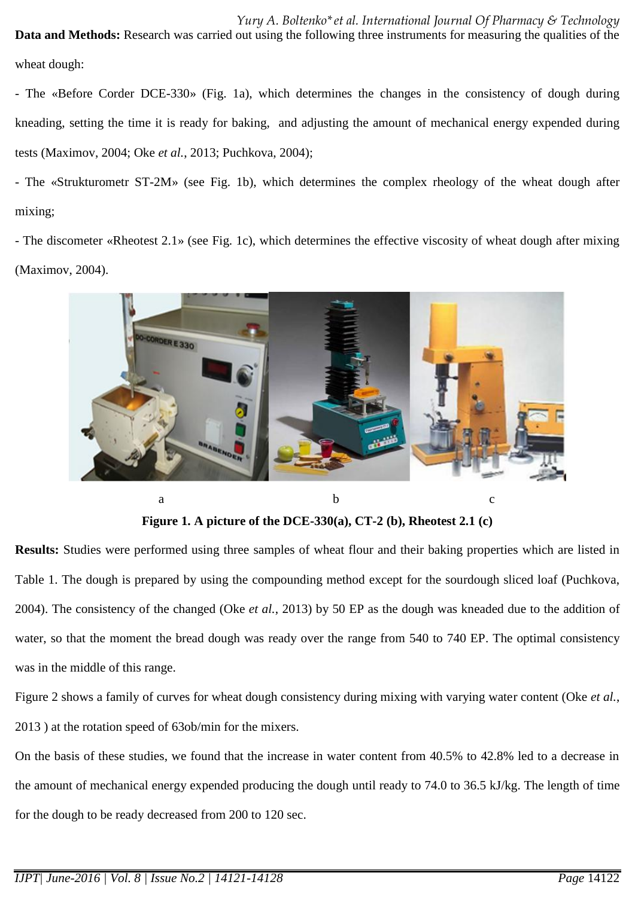*Yury A. Boltenko\*et al. International Journal Of Pharmacy & Technology* **Data and Methods:** Research was carried out using the following three instruments for measuring the qualities of the wheat dough:

- The «Before Corder DCE-330» (Fig. 1a), which determines the changes in the consistency of dough during kneading, setting the time it is ready for baking, and adjusting the amount of mechanical energy expended during tests (Maximov, 2004; Oke *et al.*, 2013; Puchkova, 2004);

- The «Strukturometr ST-2M» (see Fig. 1b), which determines the complex rheology of the wheat dough after mixing;

- The discometer «Rheotest 2.1» (see Fig. 1c), which determines the effective viscosity of wheat dough after mixing (Maximov, 2004).



**Figure 1. A picture of the DCE-330(a), CT-2 (b), Rheotest 2.1 (c)**

**Results:** Studies were performed using three samples of wheat flour and their baking properties which are listed in Table 1. The dough is prepared by using the compounding method except for the sourdough sliced loaf (Puchkova, 2004). The consistency of the changed (Oke *et al.*, 2013) by 50 EP as the dough was kneaded due to the addition of water, so that the moment the bread dough was ready over the range from 540 to 740 EP. The optimal consistency was in the middle of this range.

Figure 2 shows a family of curves for wheat dough consistency during mixing with varying water content (Oke *et al.*, 2013 ) at the rotation speed of 63ob/min for the mixers.

On the basis of these studies, we found that the increase in water content from 40.5% to 42.8% led to a decrease in the amount of mechanical energy expended producing the dough until ready to 74.0 to 36.5 kJ/kg. The length of time for the dough to be ready decreased from 200 to 120 sec.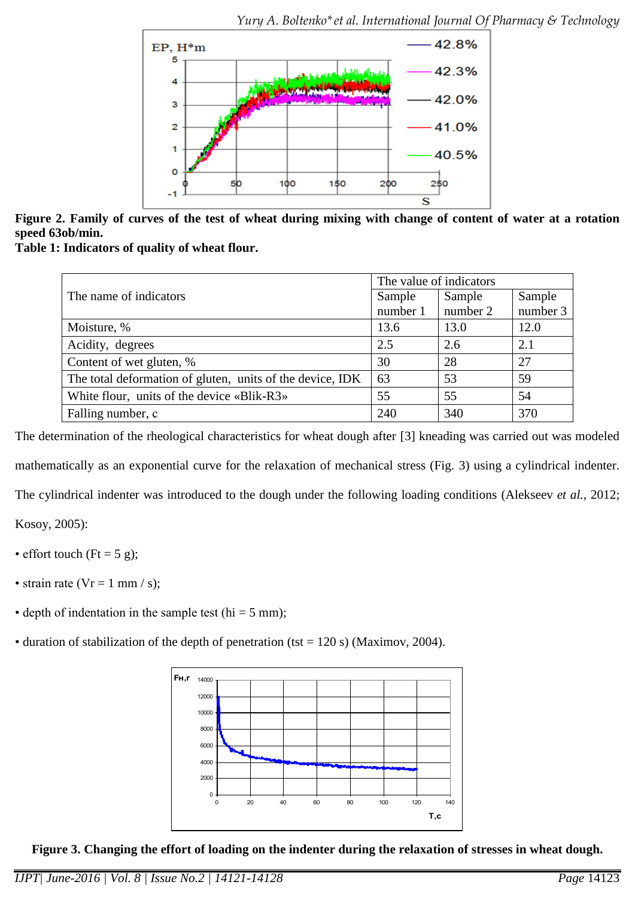

**Figure 2. Family of curves of the test of wheat during mixing with change of content of water at a rotation speed 63ob/min.**

**Table 1: Indicators of quality of wheat flour.**

|                                                           | The value of indicators |          |          |  |
|-----------------------------------------------------------|-------------------------|----------|----------|--|
| The name of indicators                                    | Sample                  | Sample   | Sample   |  |
|                                                           | number 1                | number 2 | number 3 |  |
| Moisture, %                                               | 13.6                    | 13.0     | 12.0     |  |
| Acidity, degrees                                          | 2.5                     | 2.6      | 2.1      |  |
| Content of wet gluten, %                                  | 30                      | 28       | 27       |  |
| The total deformation of gluten, units of the device, IDK | 63                      | 53       | 59       |  |
| White flour, units of the device «Blik-R3»                | 55                      | 55       | 54       |  |
| Falling number, c                                         | 240                     | 340      | 370      |  |

The determination of the rheological characteristics for wheat dough after [3] kneading was carried out was modeled mathematically as an exponential curve for the relaxation of mechanical stress (Fig. 3) using a cylindrical indenter. The cylindrical indenter was introduced to the dough under the following loading conditions (Alekseev *et al.*, 2012;

Kosoy, 2005):

- effort touch ( $Ft = 5$  g);
- strain rate ( $Vr = 1$  mm / s);
- depth of indentation in the sample test (hi =  $5 \text{ mm}$ );
- duration of stabilization of the depth of penetration (tst = 120 s) (Maximov, 2004).



**Figure 3. Changing the effort of loading on the indenter during the relaxation of stresses in wheat dough.**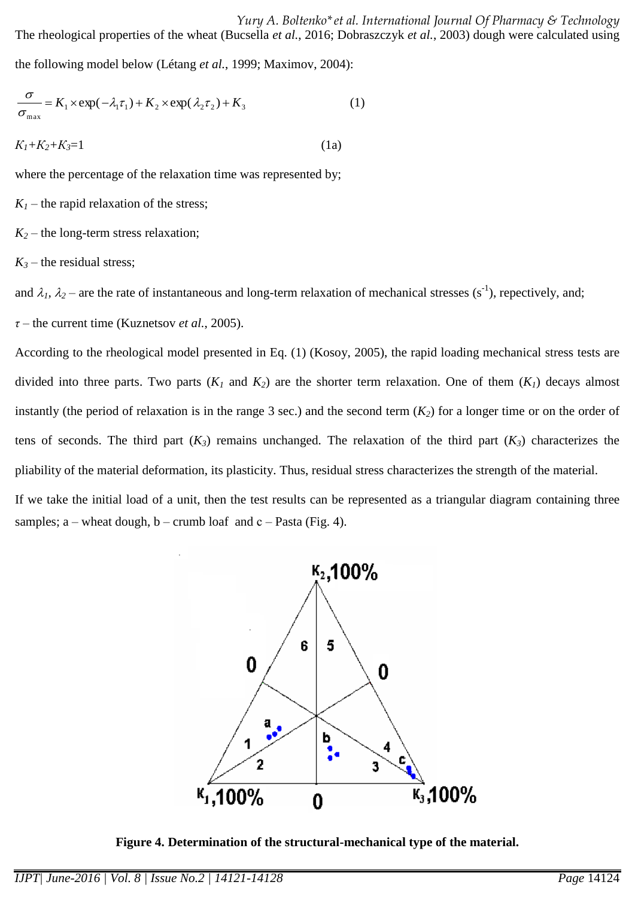the following model below [\(Létang](http://www.sciencedirect.com/science/article/pii/S0260877499000825) *et al.*, 1999; Maximov, 2004):

$$
\frac{\sigma}{\sigma_{\max}} = K_1 \times \exp(-\lambda_1 \tau_1) + K_2 \times \exp(\lambda_2 \tau_2) + K_3
$$
\n(1)  
\n
$$
K_1 + K_2 + K_3 = 1
$$
\n(1a)

where the percentage of the relaxation time was represented by;

 $K_I$  – the rapid relaxation of the stress;

 $K_2$  – the long-term stress relaxation;

 $K_3$  – the residual stress;

and  $\lambda_1$ ,  $\lambda_2$  – are the rate of instantaneous and long-term relaxation of mechanical stresses (s<sup>-1</sup>), repectively, and;

*τ* – the current time (Kuznetsov *et al.*, 2005).

According to the rheological model presented in Eq. (1) (Kosoy, 2005), the rapid loading mechanical stress tests are divided into three parts. Two parts  $(K_1$  and  $K_2$ ) are the shorter term relaxation. One of them  $(K_1)$  decays almost instantly (the period of relaxation is in the range 3 sec.) and the second term  $(K_2)$  for a longer time or on the order of tens of seconds. The third part  $(K_3)$  remains unchanged. The relaxation of the third part  $(K_3)$  characterizes the pliability of the material deformation, its plasticity. Thus, residual stress characterizes the strength of the material.

If we take the initial load of a unit, then the test results can be represented as a triangular diagram containing three samples; a – wheat dough, b – crumb loaf and  $c$  – Pasta (Fig. 4).



**Figure 4. Determination of the structural-mechanical type of the material.**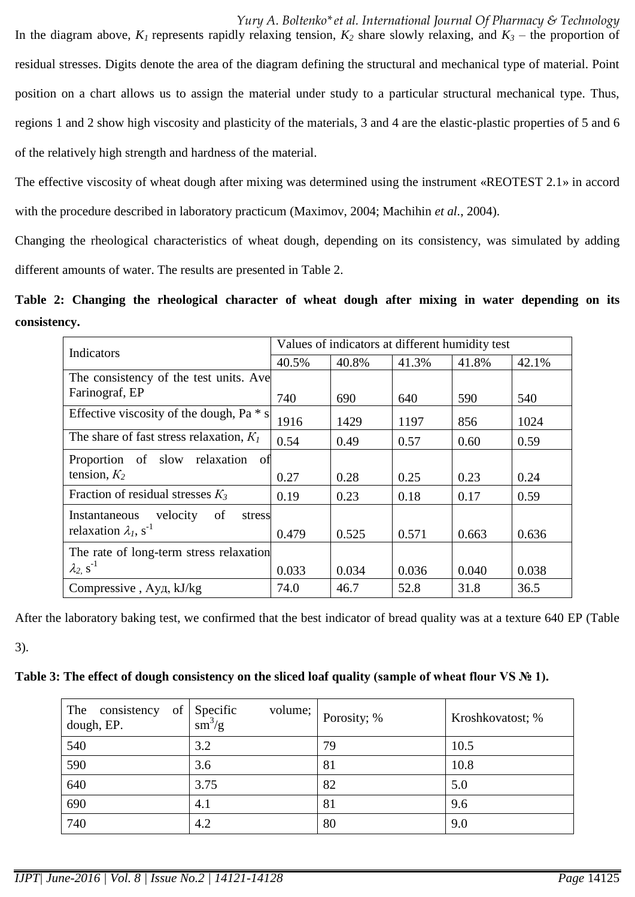*Yury A. Boltenko\*et al. International Journal Of Pharmacy & Technology* In the diagram above,  $K_l$  represents rapidly relaxing tension,  $K_2$  share slowly relaxing, and  $K_3$  – the proportion of residual stresses. Digits denote the area of the diagram defining the structural and mechanical type of material. Point position on a chart allows us to assign the material under study to a particular structural mechanical type. Thus, regions 1 and 2 show high viscosity and plasticity of the materials, 3 and 4 are the elastic-plastic properties of 5 and 6 of the relatively high strength and hardness of the material.

The effective viscosity of wheat dough after mixing was determined using the instrument «REOTEST 2.1» in accord with the procedure described in laboratory practicum (Maximov, 2004; Machihin *et al.*, 2004).

Changing the rheological characteristics of wheat dough, depending on its consistency, was simulated by adding different amounts of water. The results are presented in Table 2.

**Table 2: Changing the rheological character of wheat dough after mixing in water depending on its consistency.**

| Indicators                                 | Values of indicators at different humidity test |       |       |       |       |
|--------------------------------------------|-------------------------------------------------|-------|-------|-------|-------|
|                                            | 40.5%                                           | 40.8% | 41.3% | 41.8% | 42.1% |
| The consistency of the test units. Ave     |                                                 |       |       |       |       |
| Farinograf, EP                             | 740                                             | 690   | 640   | 590   | 540   |
| Effective viscosity of the dough, Pa $*$ s | 1916                                            | 1429  | 1197  | 856   | 1024  |
| The share of fast stress relaxation, $K_I$ | 0.54                                            | 0.49  | 0.57  | 0.60  | 0.59  |
| Proportion of slow relaxation<br>-ofi      |                                                 |       |       |       |       |
| tension, $K_2$                             | 0.27                                            | 0.28  | 0.25  | 0.23  | 0.24  |
| Fraction of residual stresses $K_3$        | 0.19                                            | 0.23  | 0.18  | 0.17  | 0.59  |
| velocity<br>of<br>Instantaneous<br>stress  |                                                 |       |       |       |       |
| relaxation $\lambda_1$ , s <sup>-1</sup>   | 0.479                                           | 0.525 | 0.571 | 0.663 | 0.636 |
| The rate of long-term stress relaxation    |                                                 |       |       |       |       |
| $\lambda_2$ , s <sup>-1</sup>              | 0.033                                           | 0.034 | 0.036 | 0.040 | 0.038 |
| Compressive, Ауд, kJ/kg                    | 74.0                                            | 46.7  | 52.8  | 31.8  | 36.5  |

After the laboratory baking test, we confirmed that the best indicator of bread quality was at a texture 640 EP (Table

3).

## **Table 3: The effect of dough consistency on the sliced loaf quality (sample of wheat flour VS № 1).**

| The<br>$\circ$ f<br>consistency<br>dough, EP. | Specific<br>volume;<br>$\sin^3/g$ | Porosity; % | Kroshkovatost; % |
|-----------------------------------------------|-----------------------------------|-------------|------------------|
| 540                                           | 3.2                               | 79          | 10.5             |
| 590                                           | 3.6                               | 81          | 10.8             |
| 640                                           | 3.75                              | 82          | 5.0              |
| 690                                           | 4.1                               | 81          | 9.6              |
| 740                                           | 4.2                               | 80          | 9.0              |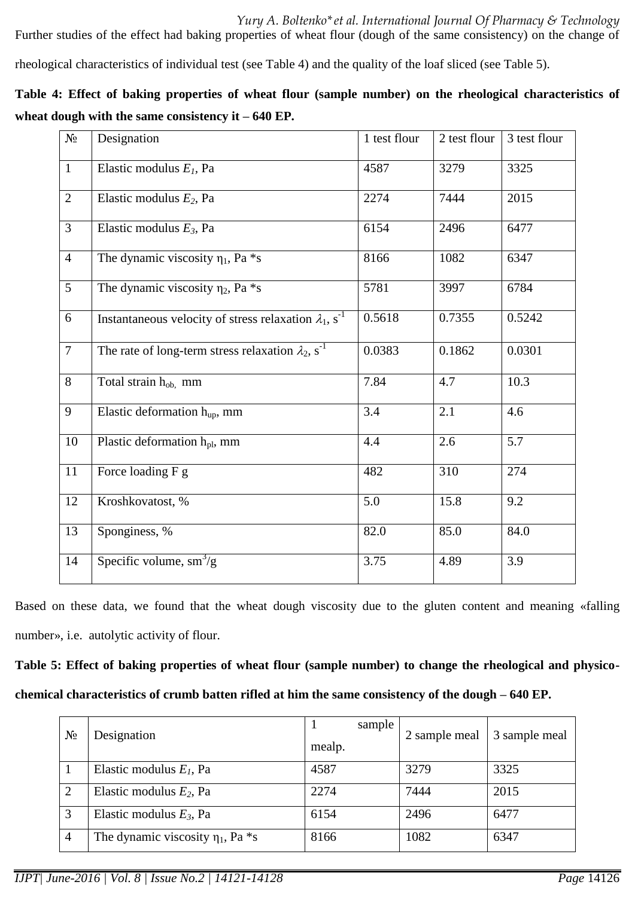rheological characteristics of individual test (see Table 4) and the quality of the loaf sliced (see Table 5).

|                                                     | Table 4: Effect of baking properties of wheat flour (sample number) on the rheological characteristics of |
|-----------------------------------------------------|-----------------------------------------------------------------------------------------------------------|
| wheat dough with the same consistency it $-640$ EP. |                                                                                                           |

| $N_2$          | Designation                                                               | 1 test flour | 2 test flour | 3 test flour     |
|----------------|---------------------------------------------------------------------------|--------------|--------------|------------------|
| $\mathbf{1}$   | Elastic modulus $E_I$ , Pa                                                | 4587         | 3279         | 3325             |
| $\overline{2}$ | Elastic modulus $E_2$ , Pa                                                | 2274         | 7444         | 2015             |
| 3              | Elastic modulus $E_3$ , Pa                                                | 6154         | 2496         | 6477             |
| $\overline{4}$ | The dynamic viscosity $\eta_1$ , Pa *s                                    | 8166         | 1082         | 6347             |
| $\overline{5}$ | The dynamic viscosity $\eta_2$ , Pa $*_{S}$                               | 5781         | 3997         | 6784             |
| 6              | Instantaneous velocity of stress relaxation $\lambda_1$ , s <sup>-1</sup> | 0.5618       | 0.7355       | 0.5242           |
| $\overline{7}$ | The rate of long-term stress relaxation $\lambda_2$ , s <sup>-1</sup>     | 0.0383       | 0.1862       | 0.0301           |
| 8              | Total strain h <sub>ob,</sub> mm                                          | 7.84         | 4.7          | 10.3             |
| 9              | Elastic deformation $h_{up}$ , mm                                         | 3.4          | 2.1          | 4.6              |
| $10\,$         | Plastic deformation h <sub>pl</sub> , mm                                  | 4.4          | 2.6          | 5.7              |
| 11             | Force loading F g                                                         | 482          | 310          | 274              |
| 12             | Kroshkovatost, %                                                          | 5.0          | 15.8         | 9.2              |
| 13             | Sponginess, %                                                             | 82.0         | 85.0         | 84.0             |
| 14             | Specific volume, $\text{sm}^3/\text{g}$                                   | 3.75         | 4.89         | $\overline{3.9}$ |

Based on these data, we found that the wheat dough viscosity due to the gluten content and meaning «falling number», i.e. autolytic activity of flour.

# **Table 5: Effect of baking properties of wheat flour (sample number) to change the rheological and physicochemical characteristics of crumb batten rifled at him the same consistency of the dough – 640 EP.**

| $N_2$          | Designation                               | sample<br>mealp. | 2 sample meal | 3 sample meal |
|----------------|-------------------------------------------|------------------|---------------|---------------|
|                | Elastic modulus $E1$ , Pa                 | 4587             | 3279          | 3325          |
| 2              | Elastic modulus $E_2$ , Pa                | 2274             | 7444          | 2015          |
| 3              | Elastic modulus $E_3$ , Pa                | 6154             | 2496          | 6477          |
| $\overline{4}$ | The dynamic viscosity $\eta_1$ , Pa $*_s$ | 8166             | 1082          | 6347          |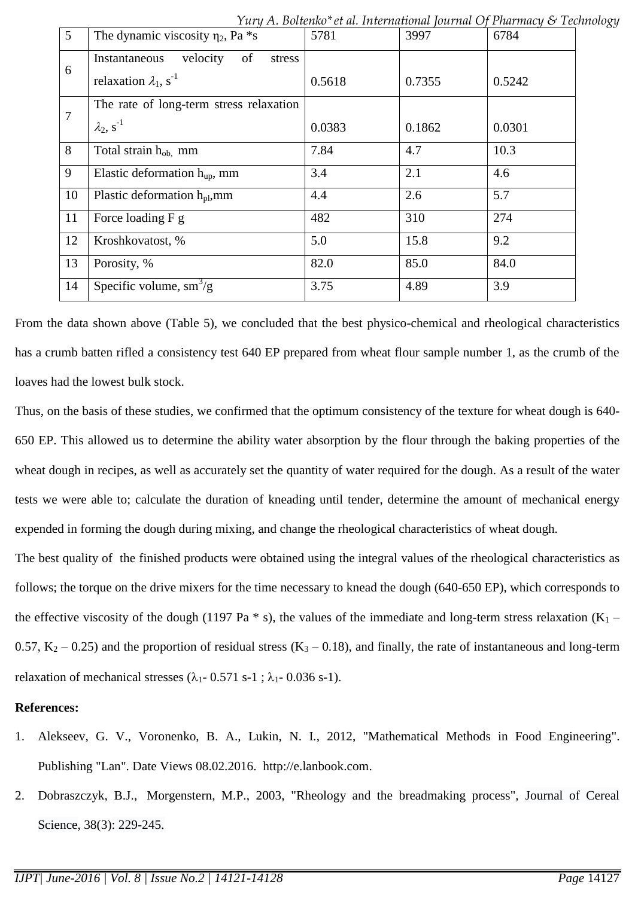|                 |                                           | $1$ ury A. Douchno et al. International journal $\cup$ Friarmacy $\cup$ Tech |        |        |
|-----------------|-------------------------------------------|------------------------------------------------------------------------------|--------|--------|
| $5\overline{)}$ | The dynamic viscosity $\eta_2$ , Pa $*$ s | 5781                                                                         | 3997   | 6784   |
| 6               | velocity<br>Instantaneous<br>of<br>stress |                                                                              |        |        |
|                 | relaxation $\lambda_1$ , s <sup>-1</sup>  | 0.5618                                                                       | 0.7355 | 0.5242 |
| 7               | The rate of long-term stress relaxation   |                                                                              |        |        |
|                 | $\lambda_2$ , s <sup>-1</sup>             | 0.0383                                                                       | 0.1862 | 0.0301 |
| 8               | Total strain h <sub>ob,</sub> mm          | 7.84                                                                         | 4.7    | 10.3   |
| 9               | Elastic deformation $h_{up}$ , mm         | 3.4                                                                          | 2.1    | 4.6    |
| 10              | Plastic deformation $h_{\text{pl}}$ , mm  | 4.4                                                                          | 2.6    | 5.7    |
| 11              | Force loading F g                         | 482                                                                          | 310    | 274    |
| 12              | Kroshkovatost, %                          | 5.0                                                                          | 15.8   | 9.2    |
| 13              | Porosity, %                               | 82.0                                                                         | 85.0   | 84.0   |
| 14              | Specific volume, $\text{sm}^3/\text{g}$   | 3.75                                                                         | 4.89   | 3.9    |

*Yury A. Boltenko\*et al. International Journal Of Pharmacy & Technology*

From the data shown above (Table 5), we concluded that the best physico-chemical and rheological characteristics has a crumb batten rifled a consistency test 640 EP prepared from wheat flour sample number 1, as the crumb of the loaves had the lowest bulk stock.

Thus, on the basis of these studies, we confirmed that the optimum consistency of the texture for wheat dough is 640- 650 EP. This allowed us to determine the ability water absorption by the flour through the baking properties of the wheat dough in recipes, as well as accurately set the quantity of water required for the dough. As a result of the water tests we were able to; calculate the duration of kneading until tender, determine the amount of mechanical energy expended in forming the dough during mixing, and change the rheological characteristics of wheat dough.

The best quality of the finished products were obtained using the integral values of the rheological characteristics as follows; the torque on the drive mixers for the time necessary to knead the dough (640-650 EP), which corresponds to the effective viscosity of the dough (1197 Pa  $*$  s), the values of the immediate and long-term stress relaxation (K<sub>1</sub> – 0.57,  $K_2$  – 0.25) and the proportion of residual stress  $(K_3 - 0.18)$ , and finally, the rate of instantaneous and long-term relaxation of mechanical stresses  $(\lambda_1 - 0.571 \text{ s-1}; \lambda_1 - 0.036 \text{ s-1}).$ 

### **References:**

- 1. Alekseev, G. V., Voronenko, B. A., Lukin, N. I., 2012, "Mathematical Methods in Food Engineering". Publishing "Lan". Date Views 08.02.2016. [http://e.lanbook.com.](http://e.lanbook.com/)
- 2. [Dobraszczyk,](http://www.sciencedirect.com/science/article/pii/S0733521003000596) B.J., [Morgenstern,](http://www.sciencedirect.com/science/article/pii/S0733521003000596) M.P., 2003, "Rheology and the breadmaking process", [Journal](http://www.sciencedirect.com/science/journal/07335210) of Cereal [Science,](http://www.sciencedirect.com/science/journal/07335210) 38(3): 229-245.